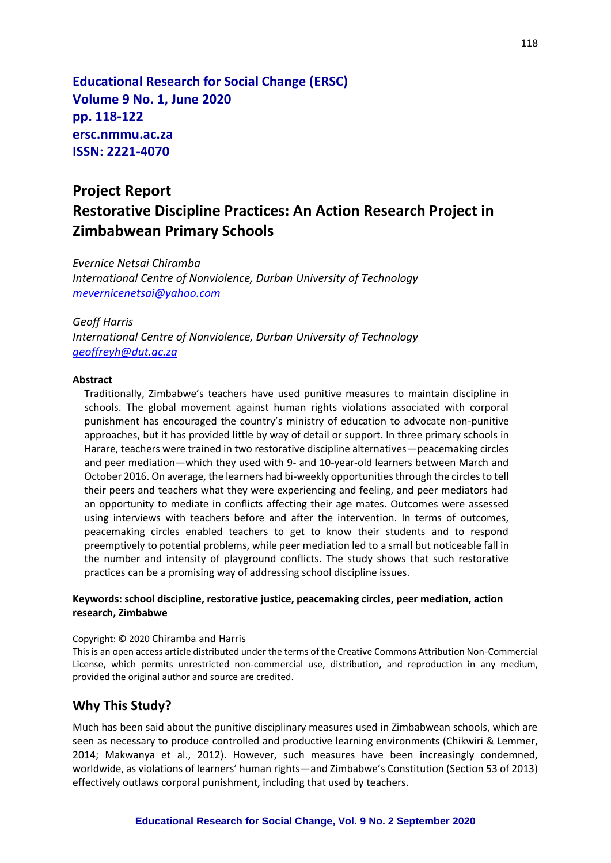**Educational Research for Social Change (ERSC) Volume 9 No. 1, June 2020 pp. 118-122 ersc.nmmu.ac.za ISSN: 2221-4070**

# **Project Report Restorative Discipline Practices: An Action Research Project in Zimbabwean Primary Schools**

*Evernice Netsai Chiramba International Centre of Nonviolence, Durban University of Technology [mevernicenetsai@yahoo.com](mailto:mevernicenetsai@yahoo.com)*

#### *Geoff Harris International Centre of Nonviolence, Durban University of Technology [geoffreyh@dut.ac.za](mailto:geoffreyh@dut.ac.za)*

#### **Abstract**

Traditionally, Zimbabwe's teachers have used punitive measures to maintain discipline in schools. The global movement against human rights violations associated with corporal punishment has encouraged the country's ministry of education to advocate non-punitive approaches, but it has provided little by way of detail or support. In three primary schools in Harare, teachers were trained in two restorative discipline alternatives—peacemaking circles and peer mediation—which they used with 9- and 10-year-old learners between March and October 2016. On average, the learners had bi-weekly opportunities through the circles to tell their peers and teachers what they were experiencing and feeling, and peer mediators had an opportunity to mediate in conflicts affecting their age mates. Outcomes were assessed using interviews with teachers before and after the intervention. In terms of outcomes, peacemaking circles enabled teachers to get to know their students and to respond preemptively to potential problems, while peer mediation led to a small but noticeable fall in the number and intensity of playground conflicts. The study shows that such restorative practices can be a promising way of addressing school discipline issues.

#### **Keywords: school discipline, restorative justice, peacemaking circles, peer mediation, action research, Zimbabwe**

#### Copyright: © 2020 Chiramba and Harris

This is an open access article distributed under the terms of the Creative Commons Attribution Non-Commercial License, which permits unrestricted non-commercial use, distribution, and reproduction in any medium, provided the original author and source are credited.

#### **Why This Study?**

Much has been said about the punitive disciplinary measures used in Zimbabwean schools, which are seen as necessary to produce controlled and productive learning environments (Chikwiri & Lemmer, 2014; Makwanya et al., 2012). However, such measures have been increasingly condemned, worldwide, as violations of learners' human rights—and Zimbabwe's Constitution (Section 53 of 2013) effectively outlaws corporal punishment, including that used by teachers.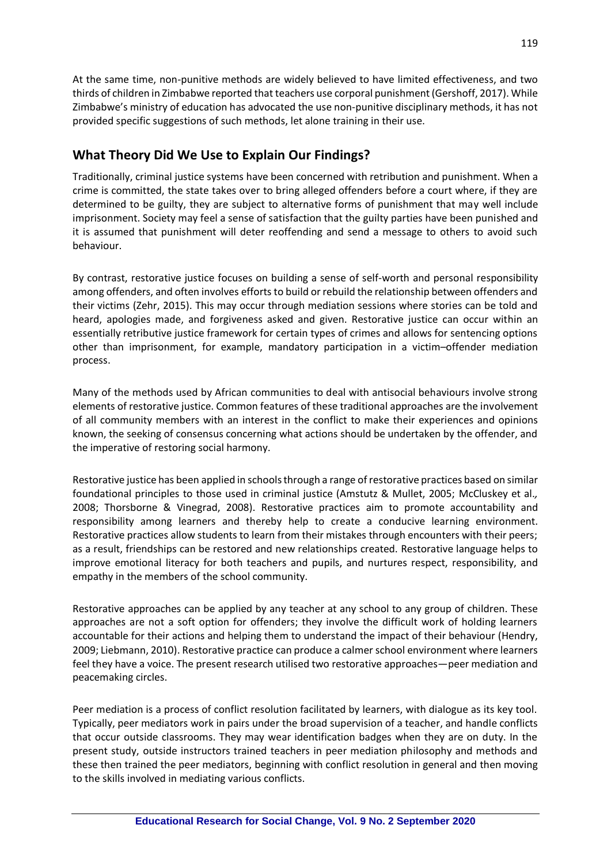119

At the same time, non-punitive methods are widely believed to have limited effectiveness, and two thirds of children in Zimbabwe reported that teachers use corporal punishment (Gershoff, 2017). While Zimbabwe's ministry of education has advocated the use non-punitive disciplinary methods, it has not provided specific suggestions of such methods, let alone training in their use.

# **What Theory Did We Use to Explain Our Findings?**

Traditionally, criminal justice systems have been concerned with retribution and punishment. When a crime is committed, the state takes over to bring alleged offenders before a court where, if they are determined to be guilty, they are subject to alternative forms of punishment that may well include imprisonment. Society may feel a sense of satisfaction that the guilty parties have been punished and it is assumed that punishment will deter reoffending and send a message to others to avoid such behaviour.

By contrast, restorative justice focuses on building a sense of self-worth and personal responsibility among offenders, and often involves efforts to build or rebuild the relationship between offenders and their victims (Zehr, 2015). This may occur through mediation sessions where stories can be told and heard, apologies made, and forgiveness asked and given. Restorative justice can occur within an essentially retributive justice framework for certain types of crimes and allows for sentencing options other than imprisonment, for example, mandatory participation in a victim–offender mediation process.

Many of the methods used by African communities to deal with antisocial behaviours involve strong elements of restorative justice. Common features of these traditional approaches are the involvement of all community members with an interest in the conflict to make their experiences and opinions known, the seeking of consensus concerning what actions should be undertaken by the offender, and the imperative of restoring social harmony.

Restorative justice has been applied in schools through a range of restorative practices based on similar foundational principles to those used in criminal justice (Amstutz & Mullet, 2005; McCluskey et al.*,* 2008; Thorsborne & Vinegrad, 2008). Restorative practices aim to promote accountability and responsibility among learners and thereby help to create a conducive learning environment. Restorative practices allow students to learn from their mistakes through encounters with their peers; as a result, friendships can be restored and new relationships created. Restorative language helps to improve emotional literacy for both teachers and pupils, and nurtures respect, responsibility, and empathy in the members of the school community.

Restorative approaches can be applied by any teacher at any school to any group of children. These approaches are not a soft option for offenders; they involve the difficult work of holding learners accountable for their actions and helping them to understand the impact of their behaviour (Hendry, 2009; Liebmann, 2010). Restorative practice can produce a calmer school environment where learners feel they have a voice. The present research utilised two restorative approaches—peer mediation and peacemaking circles.

Peer mediation is a process of conflict resolution facilitated by learners, with dialogue as its key tool. Typically, peer mediators work in pairs under the broad supervision of a teacher, and handle conflicts that occur outside classrooms. They may wear identification badges when they are on duty. In the present study, outside instructors trained teachers in peer mediation philosophy and methods and these then trained the peer mediators, beginning with conflict resolution in general and then moving to the skills involved in mediating various conflicts.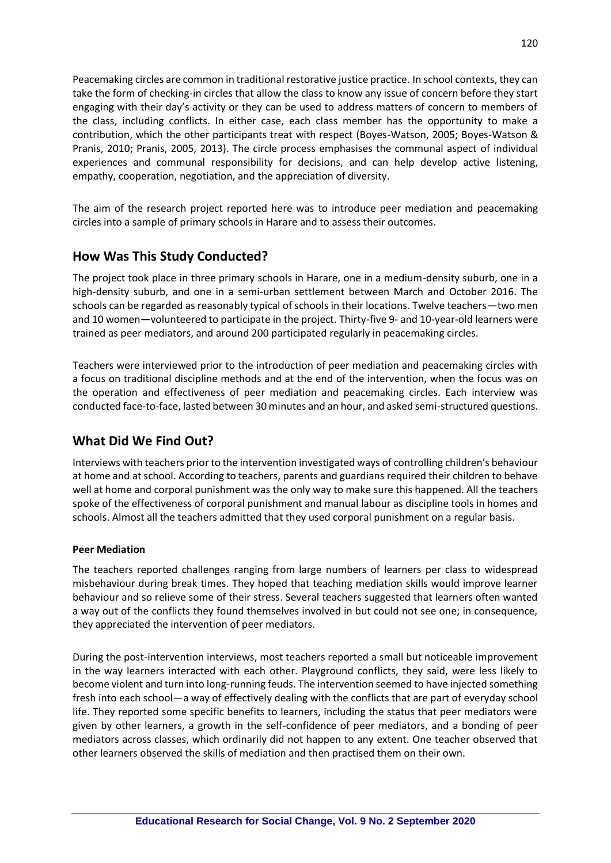Peacemaking circles are common in traditional restorative justice practice. In school contexts, they can take the form of checking-in circles that allow the class to know any issue of concern before they start engaging with their day's activity or they can be used to address matters of concern to members of the class, including conflicts. In either case, each class member has the opportunity to make a contribution, which the other participants treat with respect (Boyes-Watson, 2005; Boyes-Watson & Pranis, 2010; Pranis, 2005, 2013). The circle process emphasises the communal aspect of individual experiences and communal responsibility for decisions, and can help develop active listening, empathy, cooperation, negotiation, and the appreciation of diversity.

The aim of the research project reported here was to introduce peer mediation and peacemaking circles into a sample of primary schools in Harare and to assess their outcomes.

# **How Was This Study Conducted?**

The project took place in three primary schools in Harare, one in a medium-density suburb, one in a high-density suburb, and one in a semi-urban settlement between March and October 2016. The schools can be regarded as reasonably typical of schools in their locations. Twelve teachers—two men and 10 women—volunteered to participate in the project. Thirty-five 9- and 10-year-old learners were trained as peer mediators, and around 200 participated regularly in peacemaking circles.

Teachers were interviewed prior to the introduction of peer mediation and peacemaking circles with a focus on traditional discipline methods and at the end of the intervention, when the focus was on the operation and effectiveness of peer mediation and peacemaking circles. Each interview was conducted face-to-face, lasted between 30 minutes and an hour, and asked semi-structured questions.

### **What Did We Find Out?**

Interviews with teachers prior to the intervention investigated ways of controlling children's behaviour at home and at school. According to teachers, parents and guardians required their children to behave well at home and corporal punishment was the only way to make sure this happened. All the teachers spoke of the effectiveness of corporal punishment and manual labour as discipline tools in homes and schools. Almost all the teachers admitted that they used corporal punishment on a regular basis.

#### **Peer Mediation**

The teachers reported challenges ranging from large numbers of learners per class to widespread misbehaviour during break times. They hoped that teaching mediation skills would improve learner behaviour and so relieve some of their stress. Several teachers suggested that learners often wanted a way out of the conflicts they found themselves involved in but could not see one; in consequence, they appreciated the intervention of peer mediators.

During the post-intervention interviews, most teachers reported a small but noticeable improvement in the way learners interacted with each other. Playground conflicts, they said, were less likely to become violent and turn into long-running feuds. The intervention seemed to have injected something fresh into each school—a way of effectively dealing with the conflicts that are part of everyday school life. They reported some specific benefits to learners, including the status that peer mediators were given by other learners, a growth in the self-confidence of peer mediators, and a bonding of peer mediators across classes, which ordinarily did not happen to any extent. One teacher observed that other learners observed the skills of mediation and then practised them on their own.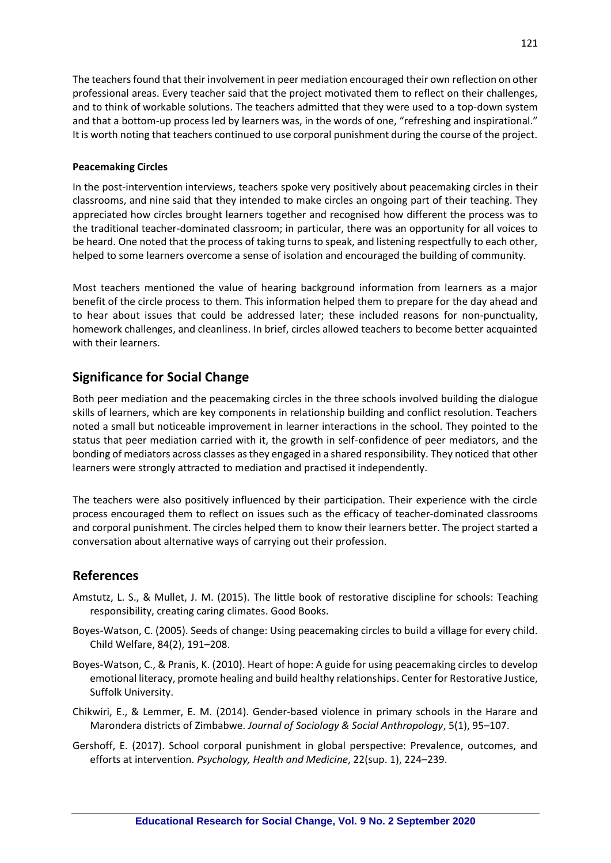The teachers found that their involvement in peer mediation encouraged their own reflection on other professional areas. Every teacher said that the project motivated them to reflect on their challenges, and to think of workable solutions. The teachers admitted that they were used to a top-down system and that a bottom-up process led by learners was, in the words of one, "refreshing and inspirational." It is worth noting that teachers continued to use corporal punishment during the course of the project.

#### **Peacemaking Circles**

In the post-intervention interviews, teachers spoke very positively about peacemaking circles in their classrooms, and nine said that they intended to make circles an ongoing part of their teaching. They appreciated how circles brought learners together and recognised how different the process was to the traditional teacher-dominated classroom; in particular, there was an opportunity for all voices to be heard. One noted that the process of taking turns to speak, and listening respectfully to each other, helped to some learners overcome a sense of isolation and encouraged the building of community.

Most teachers mentioned the value of hearing background information from learners as a major benefit of the circle process to them. This information helped them to prepare for the day ahead and to hear about issues that could be addressed later; these included reasons for non-punctuality, homework challenges, and cleanliness. In brief, circles allowed teachers to become better acquainted with their learners.

# **Significance for Social Change**

Both peer mediation and the peacemaking circles in the three schools involved building the dialogue skills of learners, which are key components in relationship building and conflict resolution. Teachers noted a small but noticeable improvement in learner interactions in the school. They pointed to the status that peer mediation carried with it, the growth in self-confidence of peer mediators, and the bonding of mediators across classes as they engaged in a shared responsibility. They noticed that other learners were strongly attracted to mediation and practised it independently.

The teachers were also positively influenced by their participation. Their experience with the circle process encouraged them to reflect on issues such as the efficacy of teacher-dominated classrooms and corporal punishment. The circles helped them to know their learners better. The project started a conversation about alternative ways of carrying out their profession.

### **References**

- Amstutz, L. S., & Mullet, J. M. (2015). The little book of restorative discipline for schools: Teaching responsibility, creating caring climates. Good Books.
- Boyes-Watson, C. (2005). Seeds of change: Using peacemaking circles to build a village for every child. Child Welfare, 84(2), 191–208.
- Boyes-Watson, C., & Pranis, K. (2010). Heart of hope: A guide for using peacemaking circles to develop emotional literacy, promote healing and build healthy relationships. Center for Restorative Justice, Suffolk University.
- Chikwiri, E., & Lemmer, E. M. (2014). Gender-based violence in primary schools in the Harare and Marondera districts of Zimbabwe. *Journal of Sociology & Social Anthropology*, 5(1), 95–107.
- Gershoff, E. (2017). School corporal punishment in global perspective: Prevalence, outcomes, and efforts at intervention. *Psychology, Health and Medicine*, 22(sup. 1), 224–239.